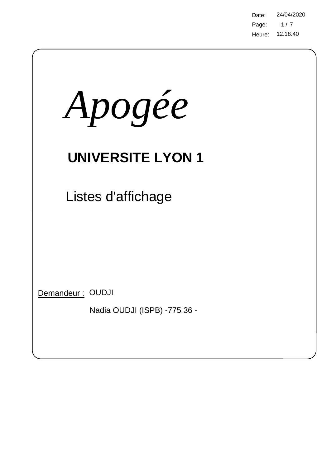Page: Heure: 12:18:40 Date: 24/04/2020  $1/7$ 

| Apogée                                           |  |
|--------------------------------------------------|--|
| <b>UNIVERSITE LYON 1</b>                         |  |
| Listes d'affichage                               |  |
|                                                  |  |
| Demandeur: OUDJI<br>Nadia OUDJI (ISPB) -775 36 - |  |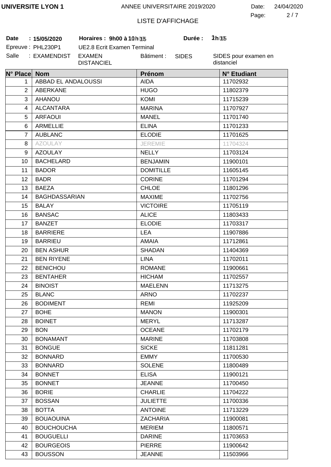2 7 Page: Date: 24/04/2020

# LISTE D'AFFICHAGE

**Date 15/05/2020 Horaires : 9h00 à 11h00 Durée : 2h00 :** Epreuve: PHL230P1

UE2.8 Ecrit Examen Terminal Salle : EXAMENDIST EXAMEN Bâtiment :

DISTANCIEL

SIDES

**Durée:** 

| N° Place Nom   |                      | Prénom           | N° Etudiant |  |
|----------------|----------------------|------------------|-------------|--|
| 1.             | ABBAD EL ANDALOUSSI  | <b>AIDA</b>      | 11702932    |  |
| $\overline{2}$ | <b>ABERKANE</b>      | <b>HUGO</b>      | 11802379    |  |
| 3              | <b>AHANOU</b>        | <b>KOMI</b>      |             |  |
| 4              | <b>ALCANTARA</b>     | <b>MARINA</b>    | 11707927    |  |
| 5              | <b>ARFAOUI</b>       | <b>MANEL</b>     | 11701740    |  |
| 6              | <b>ARMELLIE</b>      | <b>ELINA</b>     | 11701233    |  |
| 7              | <b>AUBLANC</b>       | <b>ELODIE</b>    | 11701625    |  |
| 8              | <b>AZOULAY</b>       | <b>JEREMIE</b>   | 11704324    |  |
| 9              | <b>AZOULAY</b>       | <b>NELLY</b>     | 11703124    |  |
| 10             | <b>BACHELARD</b>     | <b>BENJAMIN</b>  | 11900101    |  |
| 11             | <b>BADOR</b>         | <b>DOMITILLE</b> | 11605145    |  |
| 12             | <b>BADR</b>          | <b>CORINE</b>    | 11701294    |  |
| 13             | <b>BAEZA</b>         | <b>CHLOE</b>     | 11801296    |  |
| 14             | <b>BAGHDASSARIAN</b> | <b>MAXIME</b>    | 11702756    |  |
| 15             | <b>BALAY</b>         | <b>VICTOIRE</b>  | 11705119    |  |
| 16             | <b>BANSAC</b>        | <b>ALICE</b>     | 11803433    |  |
| 17             | <b>BANZET</b>        | <b>ELODIE</b>    | 11703317    |  |
| 18             | <b>BARRIERE</b>      | <b>LEA</b>       | 11907886    |  |
| 19             | <b>BARRIEU</b>       | <b>AMAIA</b>     | 11712861    |  |
| 20             | <b>BEN ASHUR</b>     | <b>SHADAN</b>    | 11404369    |  |
| 21             | <b>BEN RIYENE</b>    | <b>LINA</b>      | 11702011    |  |
| 22             | <b>BENICHOU</b>      | <b>ROMANE</b>    | 11900661    |  |
| 23             | <b>BENTAHER</b>      | <b>HICHAM</b>    | 11702557    |  |
| 24             | <b>BINOIST</b>       | <b>MAELENN</b>   | 11713275    |  |
| 25             | <b>BLANC</b>         | <b>ARNO</b>      | 11702237    |  |
| 26             | <b>BODIMENT</b>      | REMI             | 11925209    |  |
| 27             | <b>BOHE</b>          | <b>MANON</b>     | 11900301    |  |
| 28             | <b>BOINET</b>        | <b>MERYL</b>     | 11713287    |  |
| 29             | <b>BON</b>           | <b>OCEANE</b>    | 11702179    |  |
| 30             | <b>BONAMANT</b>      | <b>MARINE</b>    | 11703808    |  |
| 31             | <b>BONGUE</b>        | <b>SICKE</b>     | 11811281    |  |
| 32             | <b>BONNARD</b>       | <b>EMMY</b>      | 11700530    |  |
| 33             | <b>BONNARD</b>       | <b>SOLENE</b>    | 11800489    |  |
| 34             | <b>BONNET</b>        | <b>ELISA</b>     | 11900121    |  |
| 35             | <b>BONNET</b>        | <b>JEANNE</b>    | 11700450    |  |
| 36             | <b>BORIE</b>         | <b>CHARLIE</b>   | 11704222    |  |
| 37             | <b>BOSSAN</b>        | <b>JULIETTE</b>  | 11700336    |  |
| 38             | <b>BOTTA</b>         | <b>ANTOINE</b>   | 11713229    |  |
| 39             | <b>BOUAOUINA</b>     | <b>ZACHARIA</b>  | 11900081    |  |
| 40             | <b>BOUCHOUCHA</b>    | <b>MERIEM</b>    | 11800571    |  |
| 41             | <b>BOUGUELLI</b>     | <b>DARINE</b>    | 11703653    |  |
| 42             | <b>BOURGEOIS</b>     | <b>PIERRE</b>    | 11900642    |  |
| 43             | <b>BOUSSON</b>       | <b>JEANNE</b>    | 11503966    |  |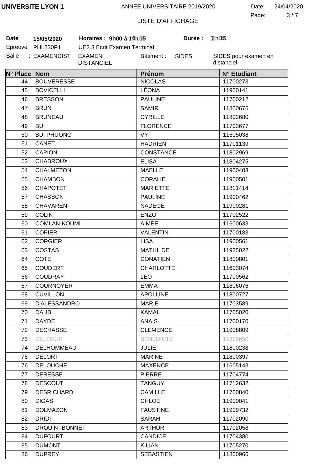3 7 Page: Date: 24/04/2020

# LISTE D'AFFICHAGE

Salle : EXAMENDIST EXAMEN **Date 15/05/2020 Horaires : 9h00 à 11h00 Durée : 2h00**

Epreuve PHL230P1 UE2.8 Ecrit Examen Terminal DISTANCIEL Bâtiment :

SIDES

**Durée:** 

| N° Place Nom |                     | Prénom           | N° Etudiant |
|--------------|---------------------|------------------|-------------|
| 44           | <b>BOUVERESSE</b>   | <b>NICOLAS</b>   | 11700273    |
| 45           | <b>BOVICELLI</b>    | LÉONA            | 11900141    |
| 46           | <b>BRESSON</b>      | <b>PAULINE</b>   | 11700212    |
| 47           | <b>BRUN</b>         | <b>SAMIR</b>     | 11800676    |
| 48           | <b>BRUNEAU</b>      | <b>CYRILLE</b>   | 11802680    |
| 49           | <b>BUI</b>          | <b>FLORENCE</b>  | 11703677    |
| 50           | <b>BUI PHUONG</b>   | VY               | 11505038    |
| 51           | <b>CANET</b>        | <b>HADRIEN</b>   | 11701139    |
| 52           | <b>CAPION</b>       | <b>CONSTANCE</b> | 11802969    |
| 53           | <b>CHABROUX</b>     | <b>ELISA</b>     | 11804275    |
| 54           | <b>CHALMETON</b>    | <b>MAELLE</b>    | 11900403    |
| 55           | <b>CHAMBON</b>      | <b>CORALIE</b>   | 11900501    |
| 56           | <b>CHAPOTET</b>     | <b>MARIETTE</b>  | 11811414    |
| 57           | <b>CHASSON</b>      | <b>PAULINE</b>   | 11900462    |
| 58           | <b>CHAVAREN</b>     | <b>NADEGE</b>    | 11900281    |
| 59           | <b>COLIN</b>        | <b>ENZO</b>      | 11702522    |
| 60           | <b>COMLAN-KOUMI</b> | <b>AIMÉE</b>     | 11600633    |
| 61           | <b>COPIER</b>       | <b>VALENTIN</b>  | 11700183    |
| 62           | <b>CORGIER</b>      | <b>LISA</b>      | 11900561    |
| 63           | <b>COSTAS</b>       | <b>MATHILDE</b>  | 11925022    |
| 64           | <b>COTE</b>         | <b>DONATIEN</b>  | 11800801    |
| 65           | <b>COUDERT</b>      | <b>CHARLOTTE</b> | 11603074    |
| 66           | <b>COUDRAY</b>      | <b>LEO</b>       | 11700562    |
| 67           | <b>COURNOYER</b>    | <b>EMMA</b>      | 11806076    |
| 68           | <b>CUVILLON</b>     | <b>APOLLINE</b>  | 11800727    |
| 69           | <b>D'ALESSANDRO</b> | <b>MARIE</b>     | 11703589    |
| 70           | <b>DAHBI</b>        | <b>KAMAL</b>     | 11705020    |
| 71           | <b>DAYDE</b>        | <b>ANAIS</b>     | 11700170    |
| 72           | <b>DECHASSE</b>     | <b>CLEMENCE</b>  | 11908809    |
| 73           | <b>DELFOUR</b>      | <b>BENEDICTE</b> | 11806650    |
| 74           | DELHOMMEAU          | <b>JULIE</b>     | 11800238    |
| 75           | <b>DELORT</b>       | <b>MARINE</b>    | 11800397    |
| 76           | <b>DELOUCHE</b>     | <b>MAXENCE</b>   | 11605143    |
| 77           | <b>DERESSE</b>      | <b>PIERRE</b>    | 11704774    |
| 78           | <b>DESCOUT</b>      | <b>TANGUY</b>    | 11712632    |
| 79           | <b>DESRICHARD</b>   | <b>CAMILLE</b>   | 11700840    |
| 80           | <b>DIGAS</b>        | CHLOÉ            | 11900041    |
| 81           | <b>DOLMAZON</b>     | <b>FAUSTINE</b>  | 11909732    |
| 82           | <b>DRIDI</b>        | <b>SARAH</b>     | 11702090    |
| 83           | DROUIN--BONNET      | <b>ARTHUR</b>    | 11702058    |
| 84           | <b>DUFOURT</b>      | <b>CANDICE</b>   | 11704380    |
| 85           | <b>DUMONT</b>       | <b>KILIAN</b>    | 11705270    |
| 86           | <b>DUPREY</b>       | <b>SEBASTIEN</b> | 11800966    |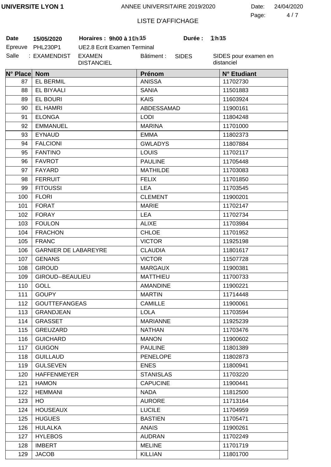4 7 Page: Date: 24/04/2020

# LISTE D'AFFICHAGE

**Date 15/05/2020 Horaires : 9h00 à 11h00 Durée : 2h00**

| Date    | 15/05/2020      |  |  |
|---------|-----------------|--|--|
| Epreuve | <b>PHL230P1</b> |  |  |
| Salle   | : EXAMENDIST    |  |  |

UE2.8 Ecrit Examen Terminal EXAMEN DISTANCIEL Bâtiment :

SIDES

**Durée:** 

| N° Place Nom |                                    | Prénom                      | N° Etudiant |
|--------------|------------------------------------|-----------------------------|-------------|
| 87           | <b>EL BERMIL</b>                   | <b>ANISSA</b>               | 11702730    |
| 88           | <b>EL BIYAALI</b>                  | <b>SANIA</b>                | 11501883    |
| 89           | <b>EL BOURI</b>                    | <b>KAIS</b>                 | 11603924    |
| 90           | <b>EL HAMRI</b>                    | ABDESSAMAD                  | 11900161    |
| 91           | <b>ELONGA</b>                      | <b>LODI</b>                 | 11804248    |
| 92           | <b>EMMANUEL</b>                    | <b>MARINA</b>               | 11701000    |
| 93           | <b>EYNAUD</b>                      | <b>EMMA</b>                 | 11802373    |
| 94           | <b>FALCIONI</b>                    | <b>GWLADYS</b>              |             |
| 95           | <b>FANTINO</b>                     | <b>LOUIS</b>                | 11702117    |
| 96           | <b>FAVROT</b>                      | <b>PAULINE</b>              | 11705448    |
| 97           | FAYARD                             | <b>MATHILDE</b>             |             |
| 98           | <b>FERRUIT</b>                     | <b>FELIX</b>                | 11701850    |
| 99           | <b>FITOUSSI</b>                    | <b>LEA</b>                  | 11703545    |
| 100          | <b>FLORI</b>                       | <b>CLEMENT</b>              | 11900201    |
| 101          | <b>FORAT</b>                       | <b>MARIE</b>                | 11702147    |
| 102          | <b>FORAY</b>                       | <b>LEA</b>                  | 11702734    |
| 103          | <b>FOULON</b>                      | <b>ALIXE</b>                | 11703984    |
| 104          | <b>FRACHON</b>                     | <b>CHLOE</b>                | 11701952    |
| 105          | <b>FRANC</b>                       | <b>VICTOR</b>               | 11925198    |
| 106          | <b>GARNIER DE LABAREYRE</b>        | <b>CLAUDIA</b>              | 11801617    |
| 107          | <b>GENANS</b>                      | <b>VICTOR</b>               | 11507728    |
| 108          | <b>GIROUD</b>                      | <b>MARGAUX</b>              | 11900381    |
| 109          | GIROUD--BEAULIEU                   | <b>MATTHIEU</b>             | 11700733    |
| 110          | <b>GOLL</b>                        | <b>AMANDINE</b>             | 11900221    |
| 111          | <b>GOUPY</b>                       | <b>MARTIN</b>               | 11714448    |
| 112          | <b>GOUTTEFANGEAS</b>               | <b>CAMILLE</b>              |             |
| 113          | <b>GRANDJEAN</b>                   | <b>LOLA</b>                 |             |
| 114          | <b>GRASSET</b>                     | <b>MARIANNE</b>             | 11925239    |
| 115          | GREUZARD                           | <b>NATHAN</b>               | 11703476    |
| 116          | <b>GUICHARD</b>                    | <b>MANON</b>                | 11900602    |
| 117          | <b>GUIGON</b>                      | <b>PAULINE</b>              | 11801389    |
| 118          | <b>GUILLAUD</b><br><b>PENELOPE</b> |                             | 11802873    |
| 119          | <b>GULSEVEN</b><br><b>ENES</b>     |                             | 11800941    |
| 120          | <b>HAFFENMEYER</b>                 | <b>STANISLAS</b>            |             |
| 121          | <b>HAMON</b>                       | <b>CAPUCINE</b><br>11900441 |             |
| 122          | <b>HEMMANI</b>                     | <b>NADA</b>                 | 11812500    |
| 123          | HO                                 | <b>AURORE</b>               |             |
| 124          | <b>HOUSEAUX</b>                    | <b>LUCILE</b><br>11704959   |             |
| 125          | <b>HUGUES</b>                      | <b>BASTIEN</b>              |             |
| 126          | <b>HULALKA</b>                     | <b>ANAIS</b><br>11900261    |             |
| 127          | <b>HYLEBOS</b>                     | <b>AUDRAN</b><br>11702249   |             |
| 128          | <b>IMBERT</b>                      | <b>MELINE</b><br>11701719   |             |
| 129          | <b>JACOB</b>                       | <b>KILLIAN</b>              | 11801700    |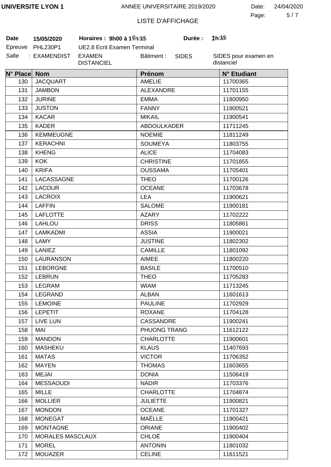5 7 Page: Date: 24/04/2020

# LISTE D'AFFICHAGE

**Date 15/05/2020 Horaires : 9h00 à 11h00 Durée : 2h00**

| Date    | 15/05/2020   |
|---------|--------------|
| Epreuve | PHL230P1     |
| Salle   | : EXAMENDIST |

UE2.8 Ecrit Examen Terminal EXAMEN DISTANCIEL Bâtiment :

SIDES

**Durée:** 

| N° Place Nom |                                         | Prénom                      | N° Etudiant |  |
|--------------|-----------------------------------------|-----------------------------|-------------|--|
| 130          | <b>JACQUART</b><br><b>AMELIE</b>        |                             | 11700365    |  |
| 131          | <b>JAMBON</b>                           | <b>ALEXANDRE</b>            | 11701155    |  |
| 132          | <b>JURINE</b>                           | <b>EMMA</b>                 | 11800950    |  |
| 133          | <b>JUSTON</b>                           | <b>FANNY</b>                | 11900521    |  |
| 134          | <b>KACAR</b><br><b>MIKAIL</b>           |                             | 11900541    |  |
| 135          | <b>KADER</b>                            | <b>ABDOULKADER</b>          | 11711245    |  |
| 136          | <b>KEMMEUGNE</b>                        | <b>NOEMIE</b>               | 11811249    |  |
| 137          | <b>KERACHNI</b>                         | <b>SOUMEYA</b>              | 11803755    |  |
| 138          | <b>KHENG</b>                            | <b>ALICE</b>                | 11704083    |  |
| 139          | <b>KOK</b>                              | <b>CHRISTINE</b>            | 11701855    |  |
| 140          | <b>KRIFA</b>                            | <b>OUSSAMA</b>              | 11705401    |  |
| 141          | LACASSAGNE                              | <b>THEO</b>                 | 11700126    |  |
| 142          | <b>LACOUR</b>                           | <b>OCEANE</b>               | 11703678    |  |
| 143          | <b>LACROIX</b>                          | <b>LEA</b>                  | 11900621    |  |
| 144          | <b>LAFFIN</b>                           | <b>SALOME</b>               | 11900181    |  |
| 145          | <b>LAFLOTTE</b>                         | <b>AZARY</b>                | 11702222    |  |
| 146          | <b>LAHLOU</b>                           | <b>DRISS</b>                | 11805861    |  |
| 147          | LAMKADMI                                | <b>ASSIA</b>                | 11900021    |  |
| 148          | LAMY                                    | <b>JUSTINE</b>              | 11802302    |  |
| 149          | <b>LANIEZ</b>                           | <b>CAMILLE</b>              | 11801092    |  |
| 150          | <b>LAURANSON</b>                        | <b>AIMEE</b>                | 11800220    |  |
| 151          | <b>LEBORGNE</b>                         | <b>BASILE</b>               | 11700510    |  |
| 152          | <b>LEBRUN</b>                           | <b>THEO</b>                 | 11705283    |  |
| 153          | LEGRAM                                  | <b>WIAM</b>                 | 11713245    |  |
| 154          | LEGRAND                                 | <b>ALBAN</b>                | 11601613    |  |
| 155          | <b>LEMOINE</b>                          | <b>PAULINE</b>              | 11702929    |  |
| 156          | <b>LEPETIT</b>                          | <b>ROXANE</b>               | 11704128    |  |
| 157          | <b>LIVE LUN</b>                         | <b>CASSANDRE</b>            | 11900241    |  |
| 158          | <b>MAI</b>                              | PHUONG TRANG                | 11612122    |  |
| 159          | <b>MANDON</b>                           | <b>CHARLOTTE</b>            | 11900601    |  |
| 160          | <b>MASHEKU</b>                          | <b>KLAUS</b>                | 11407693    |  |
| 161          | <b>MATAS</b>                            | <b>VICTOR</b>               | 11706352    |  |
| 162          | <b>MAYEN</b>                            | <b>THOMAS</b>               | 11603655    |  |
| 163          | <b>MEJAI</b>                            | <b>DONIA</b>                | 11506419    |  |
| 164          | <b>MESSAOUDI</b>                        | <b>NADIR</b>                | 11703376    |  |
| 165          | <b>MILLE</b>                            | <b>CHARLOTTE</b>            | 11704874    |  |
| 166          | <b>MOLLIER</b>                          | <b>JULIETTE</b><br>11900821 |             |  |
| 167          | <b>MONDON</b><br><b>OCEANE</b>          |                             | 11701327    |  |
| 168          | <b>MONEGAT</b>                          | MAËLLE                      |             |  |
| 169          | <b>ORIANE</b><br><b>MONTAGNE</b>        |                             | 11900402    |  |
| 170          | <b>CHLOÉ</b><br><b>MORALES MASCLAUX</b> |                             | 11900404    |  |
| 171          | <b>MOREL</b>                            | <b>ANTONIN</b>              |             |  |
| 172          | <b>MOUAZER</b>                          | <b>CELINE</b>               | 11611521    |  |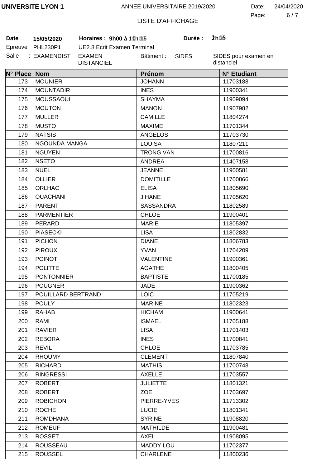6 7 Page: Date: 24/04/2020

# LISTE D'AFFICHAGE

**Date 15/05/2020 Horaires : 9h00 à 11h00 Durée : 2h00**

| Date    | 15/05/2020      |  |  |
|---------|-----------------|--|--|
| Epreuve | <b>PHL230P1</b> |  |  |
| Salle   | : EXAMENDIST    |  |  |

UE2.8 Ecrit Examen Terminal EXAMEN DISTANCIEL Bâtiment :

SIDES

**Durée:** 

| N° Place Nom |                    | Prénom           | N° Etudiant |
|--------------|--------------------|------------------|-------------|
| 173          | <b>MOUNIER</b>     | <b>JOHANN</b>    | 11703188    |
| 174          | <b>MOUNTADIR</b>   | <b>INES</b>      | 11900341    |
| 175          | <b>MOUSSAOUI</b>   | <b>SHAYMA</b>    | 11909094    |
| 176          | <b>MOUTON</b>      | <b>MANON</b>     | 11907982    |
| 177          | <b>MULLER</b>      | <b>CAMILLE</b>   | 11804274    |
| 178          | <b>MUSTO</b>       | <b>MAXIME</b>    | 11701344    |
| 179          | <b>NATSIS</b>      | <b>ANGELOS</b>   | 11703730    |
| 180          | NGOUNDA MANGA      | <b>LOUISA</b>    | 11807211    |
| 181          | <b>NGUYEN</b>      | <b>TRONG VAN</b> | 11700816    |
| 182          | <b>NSETO</b>       | <b>ANDREA</b>    | 11407158    |
| 183          | <b>NUEL</b>        | <b>JEANNE</b>    | 11900581    |
| 184          | <b>OLLIER</b>      | <b>DOMITILLE</b> | 11700866    |
| 185          | <b>ORLHAC</b>      | <b>ELISA</b>     | 11805690    |
| 186          | <b>OUACHANI</b>    | <b>JIHANE</b>    | 11705620    |
| 187          | <b>PARENT</b>      | <b>SASSANDRA</b> | 11802589    |
| 188          | <b>PARMENTIER</b>  | <b>CHLOE</b>     | 11900401    |
| 189          | PERARD             | <b>MARIE</b>     | 11805397    |
| 190          | <b>PIASECKI</b>    | <b>LISA</b>      | 11802832    |
| 191          | <b>PICHON</b>      | <b>DIANE</b>     | 11806783    |
| 192          | <b>PIROUX</b>      | <b>YVAN</b>      | 11704209    |
| 193          | <b>POINOT</b>      | <b>VALENTINE</b> | 11900361    |
| 194          | <b>POLITTE</b>     | <b>AGATHE</b>    | 11800405    |
| 195          | <b>PONTONNIER</b>  | <b>BAPTISTE</b>  | 11700185    |
| 196          | <b>POUGNER</b>     | <b>JADE</b>      | 11900362    |
| 197          | POUILLARD BERTRAND | <b>LOIC</b>      | 11705219    |
| 198          | <b>POULY</b>       | <b>MARINE</b>    | 11802323    |
| 199          | <b>RAHAB</b>       | <b>HICHAM</b>    | 11900641    |
| 200          | RAMI               | <b>ISMAEL</b>    | 11705188    |
| 201          | <b>RAVIER</b>      | <b>LISA</b>      | 11701403    |
| 202          | <b>REBORA</b>      | <b>INES</b>      | 11700841    |
| 203          | <b>REVIL</b>       | <b>CHLOE</b>     | 11703785    |
| 204          | <b>RHOUMY</b>      | <b>CLEMENT</b>   | 11807840    |
| 205          | <b>RICHARD</b>     | <b>MATHIS</b>    | 11700748    |
| 206          | <b>RINGRESSI</b>   | <b>AXELLE</b>    | 11703557    |
| 207          | <b>ROBERT</b>      | <b>JULIETTE</b>  | 11801321    |
| 208          | <b>ROBERT</b>      | <b>ZOE</b>       | 11703697    |
| 209          | <b>ROBICHON</b>    | PIERRE-YVES      | 11713302    |
| 210          | <b>ROCHE</b>       | <b>LUCIE</b>     | 11801341    |
| 211          | <b>ROMDHANA</b>    | <b>SYRINE</b>    | 11908820    |
| 212          | <b>ROMEUF</b>      | <b>MATHILDE</b>  | 11900481    |
| 213          | <b>ROSSET</b>      | <b>AXEL</b>      | 11908095    |
| 214          | <b>ROUSSEAU</b>    | <b>MADDY LOU</b> | 11702377    |
| 215          | <b>ROUSSEL</b>     | <b>CHARLENE</b>  | 11800236    |